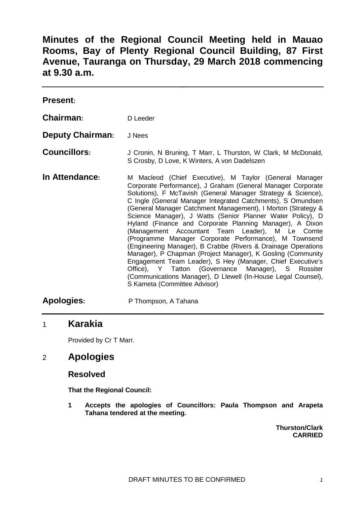**Minutes of the Regional Council Meeting held in Mauao Rooms, Bay of Plenty Regional Council Building, 87 First Avenue, Tauranga on Thursday, 29 March 2018 commencing at 9.30 a.m.**

| <b>Present:</b>         |                                                                                                                                                                                                                                                                                                                                                                                                                                                                                                                                                                                                                                                                                                                                                                                                                                                                                                                 |
|-------------------------|-----------------------------------------------------------------------------------------------------------------------------------------------------------------------------------------------------------------------------------------------------------------------------------------------------------------------------------------------------------------------------------------------------------------------------------------------------------------------------------------------------------------------------------------------------------------------------------------------------------------------------------------------------------------------------------------------------------------------------------------------------------------------------------------------------------------------------------------------------------------------------------------------------------------|
| Chairman:               | D Leeder                                                                                                                                                                                                                                                                                                                                                                                                                                                                                                                                                                                                                                                                                                                                                                                                                                                                                                        |
| <b>Deputy Chairman:</b> | J Nees                                                                                                                                                                                                                                                                                                                                                                                                                                                                                                                                                                                                                                                                                                                                                                                                                                                                                                          |
| <b>Councillors:</b>     | J Cronin, N Bruning, T Marr, L Thurston, W Clark, M McDonald,<br>S Crosby, D Love, K Winters, A von Dadelszen                                                                                                                                                                                                                                                                                                                                                                                                                                                                                                                                                                                                                                                                                                                                                                                                   |
| In Attendance:          | M Macleod (Chief Executive), M Taylor (General Manager<br>Corporate Performance), J Graham (General Manager Corporate<br>Solutions), F McTavish (General Manager Strategy & Science),<br>C Ingle (General Manager Integrated Catchments), S Omundsen<br>(General Manager Catchment Management), I Morton (Strategy &<br>Science Manager), J Watts (Senior Planner Water Policy), D<br>Hyland (Finance and Corporate Planning Manager), A Dixon<br>(Management Accountant Team Leader), M Le Comte<br>(Programme Manager Corporate Performance), M Townsend<br>(Engineering Manager), B Crabbe (Rivers & Drainage Operations<br>Manager), P Chapman (Project Manager), K Gosling (Community<br>Engagement Team Leader), S Hey (Manager, Chief Executive's<br>Office), Y Tatton (Governance Manager), S Rossiter<br>(Communications Manager), D Llewell (In-House Legal Counsel),<br>S Kameta (Committee Advisor) |

# **Apologies:** P Thompson, A Tahana

### 1 **Karakia**

Provided by Cr T Marr.

### 2 **Apologies**

#### **Resolved**

**That the Regional Council:**

**1 Accepts the apologies of Councillors: Paula Thompson and Arapeta Tahana tendered at the meeting.**

> **Thurston/Clark CARRIED**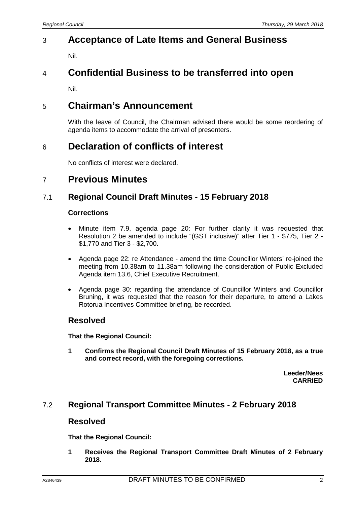# 3 **Acceptance of Late Items and General Business**

Nil.

# 4 **Confidential Business to be transferred into open**

Nil.

# 5 **Chairman's Announcement**

With the leave of Council, the Chairman advised there would be some reordering of agenda items to accommodate the arrival of presenters.

# 6 **Declaration of conflicts of interest**

No conflicts of interest were declared.

## 7 **Previous Minutes**

## 7.1 **Regional Council Draft Minutes - 15 February 2018**

#### **Corrections**

- Minute item 7.9, agenda page 20: For further clarity it was requested that Resolution 2 be amended to include "(GST inclusive)" after Tier 1 - \$775, Tier 2 - \$1,770 and Tier 3 - \$2,700.
- Agenda page 22: re Attendance amend the time Councillor Winters' re-joined the meeting from 10.38am to 11.38am following the consideration of Public Excluded Agenda item 13.6, Chief Executive Recruitment.
- Agenda page 30: regarding the attendance of Councillor Winters and Councillor Bruning, it was requested that the reason for their departure, to attend a Lakes Rotorua Incentives Committee briefing, be recorded.

### **Resolved**

**That the Regional Council:**

**1 Confirms the Regional Council Draft Minutes of 15 February 2018, as a true and correct record, with the foregoing corrections.**

> **Leeder/Nees CARRIED**

### 7.2 **Regional Transport Committee Minutes - 2 February 2018**

#### **Resolved**

**That the Regional Council:**

**1 Receives the Regional Transport Committee Draft Minutes of 2 February 2018.**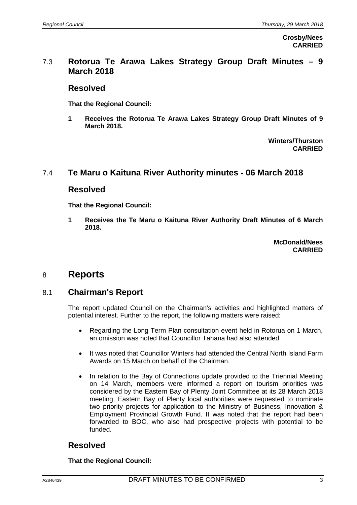**Crosby/Nees CARRIED**

#### 7.3 **Rotorua Te Arawa Lakes Strategy Group Draft Minutes – 9 March 2018**

#### **Resolved**

**That the Regional Council:**

**1 Receives the Rotorua Te Arawa Lakes Strategy Group Draft Minutes of 9 March 2018.**

> **Winters/Thurston CARRIED**

### 7.4 **Te Maru o Kaituna River Authority minutes - 06 March 2018**

#### **Resolved**

**That the Regional Council:**

**1 Receives the Te Maru o Kaituna River Authority Draft Minutes of 6 March 2018.**

> **McDonald/Nees CARRIED**

## 8 **Reports**

### 8.1 **Chairman's Report**

The report updated Council on the Chairman's activities and highlighted matters of potential interest. Further to the report, the following matters were raised:

- Regarding the Long Term Plan consultation event held in Rotorua on 1 March, an omission was noted that Councillor Tahana had also attended.
- It was noted that Councillor Winters had attended the Central North Island Farm Awards on 15 March on behalf of the Chairman.
- In relation to the Bay of Connections update provided to the Triennial Meeting on 14 March, members were informed a report on tourism priorities was considered by the Eastern Bay of Plenty Joint Committee at its 28 March 2018 meeting. Eastern Bay of Plenty local authorities were requested to nominate two priority projects for application to the Ministry of Business, Innovation & Employment Provincial Growth Fund. It was noted that the report had been forwarded to BOC, who also had prospective projects with potential to be funded.

## **Resolved**

**That the Regional Council:**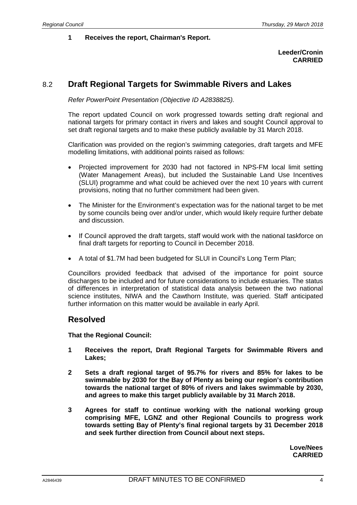#### **1 Receives the report, Chairman's Report.**

#### **Leeder/Cronin CARRIED**

#### 8.2 **Draft Regional Targets for Swimmable Rivers and Lakes**

*Refer PowerPoint Presentation (Objective ID A2838825).*

The report updated Council on work progressed towards setting draft regional and national targets for primary contact in rivers and lakes and sought Council approval to set draft regional targets and to make these publicly available by 31 March 2018.

Clarification was provided on the region's swimming categories, draft targets and MFE modelling limitations, with additional points raised as follows:

- Projected improvement for 2030 had not factored in NPS-FM local limit setting (Water Management Areas), but included the Sustainable Land Use Incentives (SLUI) programme and what could be achieved over the next 10 years with current provisions, noting that no further commitment had been given.
- The Minister for the Environment's expectation was for the national target to be met by some councils being over and/or under, which would likely require further debate and discussion.
- If Council approved the draft targets, staff would work with the national taskforce on final draft targets for reporting to Council in December 2018.
- A total of \$1.7M had been budgeted for SLUI in Council's Long Term Plan;

Councillors provided feedback that advised of the importance for point source discharges to be included and for future considerations to include estuaries. The status of differences in interpretation of statistical data analysis between the two national science institutes, NIWA and the Cawthorn Institute, was queried. Staff anticipated further information on this matter would be available in early April.

#### **Resolved**

**That the Regional Council:**

- **1 Receives the report, Draft Regional Targets for Swimmable Rivers and Lakes;**
- **2 Sets a draft regional target of 95.7% for rivers and 85% for lakes to be swimmable by 2030 for the Bay of Plenty as being our region's contribution towards the national target of 80% of rivers and lakes swimmable by 2030, and agrees to make this target publicly available by 31 March 2018.**
- **3 Agrees for staff to continue working with the national working group comprising MFE, LGNZ and other Regional Councils to progress work towards setting Bay of Plenty's final regional targets by 31 December 2018 and seek further direction from Council about next steps.**

**Love/Nees CARRIED**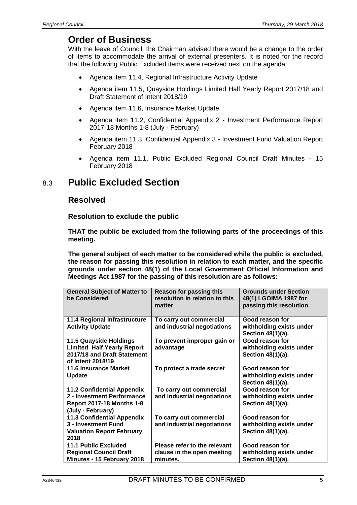## **Order of Business**

With the leave of Council, the Chairman advised there would be a change to the order of items to accommodate the arrival of external presenters. It is noted for the record that the following Public Excluded items were received next on the agenda:

- Agenda item 11.4, Regional Infrastructure Activity Update
- Agenda item 11.5, Quayside Holdings Limited Half Yearly Report 2017/18 and Draft Statement of Intent 2018/19
- Agenda item 11.6, Insurance Market Update
- Agenda item 11.2, Confidential Appendix 2 Investment Performance Report 2017-18 Months 1-8 (July - February)
- Agenda item 11.3, Confidential Appendix 3 Investment Fund Valuation Report February 2018
- Agenda item 11.1, Public Excluded Regional Council Draft Minutes 15 February 2018

## 8.3 **Public Excluded Section**

#### **Resolved**

**Resolution to exclude the public**

**THAT the public be excluded from the following parts of the proceedings of this meeting.**

**The general subject of each matter to be considered while the public is excluded, the reason for passing this resolution in relation to each matter, and the specific grounds under section 48(1) of the Local Government Official Information and Meetings Act 1987 for the passing of this resolution are as follows:**

| <b>General Subject of Matter to</b><br>be Considered                                                                     | <b>Reason for passing this</b><br>resolution in relation to this<br>matter | <b>Grounds under Section</b><br>48(1) LGOIMA 1987 for<br>passing this resolution |
|--------------------------------------------------------------------------------------------------------------------------|----------------------------------------------------------------------------|----------------------------------------------------------------------------------|
| 11.4 Regional Infrastructure<br><b>Activity Update</b>                                                                   | To carry out commercial<br>and industrial negotiations                     | Good reason for<br>withholding exists under<br>Section 48(1)(a).                 |
| 11.5 Quayside Holdings<br><b>Limited Half Yearly Report</b><br>2017/18 and Draft Statement<br>of Intent 2018/19          | To prevent improper gain or<br>advantage                                   | Good reason for<br>withholding exists under<br>Section 48(1)(a).                 |
| 11.6 Insurance Market<br><b>Update</b>                                                                                   | To protect a trade secret                                                  | Good reason for<br>withholding exists under<br>Section 48(1)(a).                 |
| <b>11.2 Confidential Appendix</b><br>2 - Investment Performance<br><b>Report 2017-18 Months 1-8</b><br>(July - February) | To carry out commercial<br>and industrial negotiations                     | Good reason for<br>withholding exists under<br>Section 48(1)(a).                 |
| <b>11.3 Confidential Appendix</b><br>3 - Investment Fund<br><b>Valuation Report February</b><br>2018                     | To carry out commercial<br>and industrial negotiations                     | Good reason for<br>withholding exists under<br>Section 48(1)(a).                 |
| <b>11.1 Public Excluded</b><br><b>Regional Council Draft</b><br>Minutes - 15 February 2018                               | Please refer to the relevant<br>clause in the open meeting<br>minutes.     | Good reason for<br>withholding exists under<br>Section 48(1)(a).                 |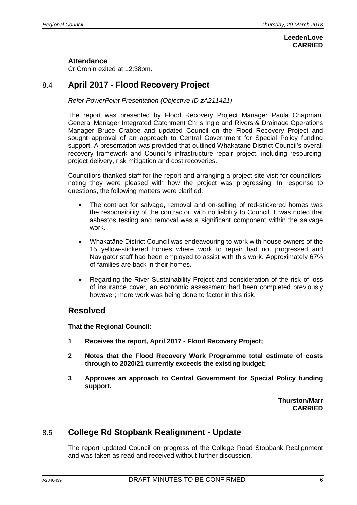#### **Leeder/Love CARRIED**

#### **Attendance**

Cr Cronin exited at 12:38pm.

### 8.4 **April 2017 - Flood Recovery Project**

*Refer PowerPoint Presentation (Objective ID zA211421).*

The report was presented by Flood Recovery Project Manager Paula Chapman, General Manager Integrated Catchment Chris Ingle and Rivers & Drainage Operations Manager Bruce Crabbe and updated Council on the Flood Recovery Project and sought approval of an approach to Central Government for Special Policy funding support. A presentation was provided that outlined Whakatane District Council's overall recovery framework and Council's infrastructure repair project, including resourcing, project delivery, risk mitigation and cost recoveries.

Councillors thanked staff for the report and arranging a project site visit for councillors, noting they were pleased with how the project was progressing. In response to questions, the following matters were clarified:

- The contract for salvage, removal and on-selling of red-stickered homes was the responsibility of the contractor, with no liability to Council. It was noted that asbestos testing and removal was a significant component within the salvage work.
- Whakatāne District Council was endeavouring to work with house owners of the 15 yellow-stickered homes where work to repair had not progressed and Navigator staff had been employed to assist with this work. Approximately 67% of families are back in their homes.
- Regarding the River Sustainability Project and consideration of the risk of loss of insurance cover, an economic assessment had been completed previously however; more work was being done to factor in this risk.

### **Resolved**

**That the Regional Council:**

- **1 Receives the report, April 2017 - Flood Recovery Project;**
- **2 Notes that the Flood Recovery Work Programme total estimate of costs through to 2020/21 currently exceeds the existing budget;**
- **3 Approves an approach to Central Government for Special Policy funding support.**

**Thurston/Marr CARRIED**

### 8.5 **College Rd Stopbank Realignment - Update**

The report updated Council on progress of the College Road Stopbank Realignment and was taken as read and received without further discussion.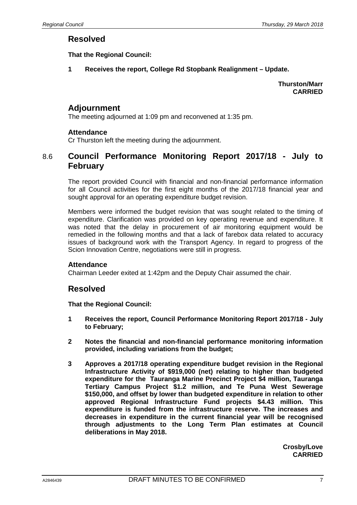#### **Resolved**

**That the Regional Council:**

**1 Receives the report, College Rd Stopbank Realignment – Update.**

**Thurston/Marr CARRIED**

#### **Adjournment**

The meeting adjourned at 1:09 pm and reconvened at 1:35 pm.

#### **Attendance**

Cr Thurston left the meeting during the adjournment.

### 8.6 **Council Performance Monitoring Report 2017/18 - July to February**

The report provided Council with financial and non-financial performance information for all Council activities for the first eight months of the 2017/18 financial year and sought approval for an operating expenditure budget revision.

Members were informed the budget revision that was sought related to the timing of expenditure. Clarification was provided on key operating revenue and expenditure. It was noted that the delay in procurement of air monitoring equipment would be remedied in the following months and that a lack of farebox data related to accuracy issues of background work with the Transport Agency. In regard to progress of the Scion Innovation Centre, negotiations were still in progress.

#### **Attendance**

Chairman Leeder exited at 1:42pm and the Deputy Chair assumed the chair.

#### **Resolved**

**That the Regional Council:**

- **1 Receives the report, Council Performance Monitoring Report 2017/18 - July to February;**
- **2 Notes the financial and non-financial performance monitoring information provided, including variations from the budget;**
- **3 Approves a 2017/18 operating expenditure budget revision in the Regional Infrastructure Activity of \$919,000 (net) relating to higher than budgeted expenditure for the Tauranga Marine Precinct Project \$4 million, Tauranga Tertiary Campus Project \$1.2 million, and Te Puna West Sewerage \$150,000, and offset by lower than budgeted expenditure in relation to other approved Regional Infrastructure Fund projects \$4.43 million. This expenditure is funded from the infrastructure reserve. The increases and decreases in expenditure in the current financial year will be recognised through adjustments to the Long Term Plan estimates at Council deliberations in May 2018.**

**Crosby/Love CARRIED**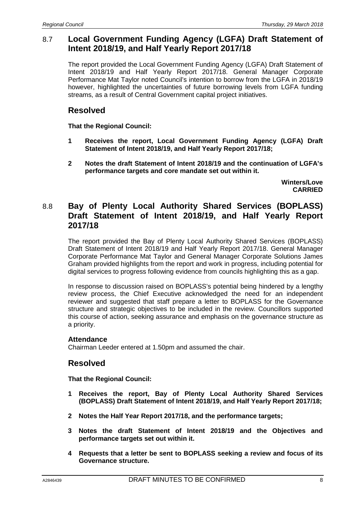### 8.7 **Local Government Funding Agency (LGFA) Draft Statement of Intent 2018/19, and Half Yearly Report 2017/18**

The report provided the Local Government Funding Agency (LGFA) Draft Statement of Intent 2018/19 and Half Yearly Report 2017/18. General Manager Corporate Performance Mat Taylor noted Council's intention to borrow from the LGFA in 2018/19 however, highlighted the uncertainties of future borrowing levels from LGFA funding streams, as a result of Central Government capital project initiatives.

### **Resolved**

**That the Regional Council:**

- **1 Receives the report, Local Government Funding Agency (LGFA) Draft Statement of Intent 2018/19, and Half Yearly Report 2017/18;**
- **2 Notes the draft Statement of Intent 2018/19 and the continuation of LGFA's performance targets and core mandate set out within it.**

**Winters/Love CARRIED**

### 8.8 **Bay of Plenty Local Authority Shared Services (BOPLASS) Draft Statement of Intent 2018/19, and Half Yearly Report 2017/18**

The report provided the Bay of Plenty Local Authority Shared Services (BOPLASS) Draft Statement of Intent 2018/19 and Half Yearly Report 2017/18. General Manager Corporate Performance Mat Taylor and General Manager Corporate Solutions James Graham provided highlights from the report and work in progress, including potential for digital services to progress following evidence from councils highlighting this as a gap.

In response to discussion raised on BOPLASS's potential being hindered by a lengthy review process, the Chief Executive acknowledged the need for an independent reviewer and suggested that staff prepare a letter to BOPLASS for the Governance structure and strategic objectives to be included in the review. Councillors supported this course of action, seeking assurance and emphasis on the governance structure as a priority.

#### **Attendance**

Chairman Leeder entered at 1.50pm and assumed the chair.

### **Resolved**

**That the Regional Council:**

- **1 Receives the report, Bay of Plenty Local Authority Shared Services (BOPLASS) Draft Statement of Intent 2018/19, and Half Yearly Report 2017/18;**
- **2 Notes the Half Year Report 2017/18, and the performance targets;**
- **3 Notes the draft Statement of Intent 2018/19 and the Objectives and performance targets set out within it.**
- **4 Requests that a letter be sent to BOPLASS seeking a review and focus of its Governance structure.**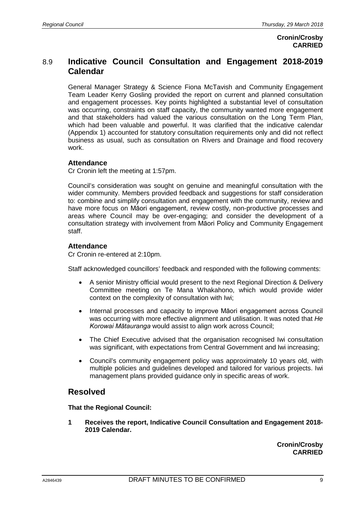## 8.9 **Indicative Council Consultation and Engagement 2018-2019 Calendar**

General Manager Strategy & Science Fiona McTavish and Community Engagement Team Leader Kerry Gosling provided the report on current and planned consultation and engagement processes. Key points highlighted a substantial level of consultation was occurring, constraints on staff capacity, the community wanted more engagement and that stakeholders had valued the various consultation on the Long Term Plan, which had been valuable and powerful. It was clarified that the indicative calendar (Appendix 1) accounted for statutory consultation requirements only and did not reflect business as usual, such as consultation on Rivers and Drainage and flood recovery work.

#### **Attendance**

Cr Cronin left the meeting at 1:57pm.

Council's consideration was sought on genuine and meaningful consultation with the wider community. Members provided feedback and suggestions for staff consideration to: combine and simplify consultation and engagement with the community, review and have more focus on Māori engagement, review costly, non-productive processes and areas where Council may be over-engaging; and consider the development of a consultation strategy with involvement from Māori Policy and Community Engagement staff.

#### **Attendance**

Cr Cronin re-entered at 2:10pm.

Staff acknowledged councillors' feedback and responded with the following comments:

- A senior Ministry official would present to the next Regional Direction & Delivery Committee meeting on Te Mana Whakahono, which would provide wider context on the complexity of consultation with Iwi;
- Internal processes and capacity to improve Māori engagement across Council was occurring with more effective alignment and utilisation. It was noted that *He Korowai Mātauranga* would assist to align work across Council;
- The Chief Executive advised that the organisation recognised Iwi consultation was significant, with expectations from Central Government and Iwi increasing;
- Council's community engagement policy was approximately 10 years old, with multiple policies and guidelines developed and tailored for various projects. Iwi management plans provided guidance only in specific areas of work.

## **Resolved**

**That the Regional Council:**

**1 Receives the report, Indicative Council Consultation and Engagement 2018- 2019 Calendar.**

> **Cronin/Crosby CARRIED**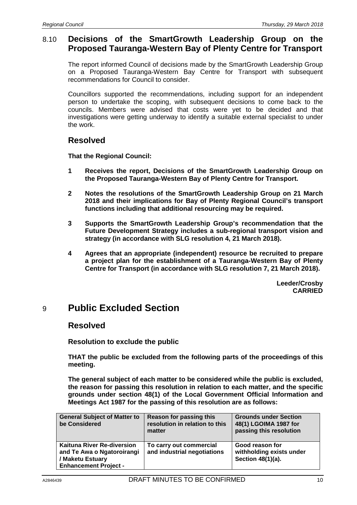#### 8.10 **Decisions of the SmartGrowth Leadership Group on the Proposed Tauranga-Western Bay of Plenty Centre for Transport**

The report informed Council of decisions made by the SmartGrowth Leadership Group on a Proposed Tauranga-Western Bay Centre for Transport with subsequent recommendations for Council to consider.

Councillors supported the recommendations, including support for an independent person to undertake the scoping, with subsequent decisions to come back to the councils. Members were advised that costs were yet to be decided and that investigations were getting underway to identify a suitable external specialist to under the work.

### **Resolved**

**That the Regional Council:**

- **1 Receives the report, Decisions of the SmartGrowth Leadership Group on the Proposed Tauranga-Western Bay of Plenty Centre for Transport.**
- **2 Notes the resolutions of the SmartGrowth Leadership Group on 21 March 2018 and their implications for Bay of Plenty Regional Council's transport functions including that additional resourcing may be required.**
- **3 Supports the SmartGrowth Leadership Group's recommendation that the Future Development Strategy includes a sub-regional transport vision and strategy (in accordance with SLG resolution 4, 21 March 2018).**
- **4 Agrees that an appropriate (independent) resource be recruited to prepare a project plan for the establishment of a Tauranga-Western Bay of Plenty Centre for Transport (in accordance with SLG resolution 7, 21 March 2018).**

**Leeder/Crosby CARRIED**

## 9 **Public Excluded Section**

#### **Resolved**

**Resolution to exclude the public**

**THAT the public be excluded from the following parts of the proceedings of this meeting.**

**The general subject of each matter to be considered while the public is excluded, the reason for passing this resolution in relation to each matter, and the specific grounds under section 48(1) of the Local Government Official Information and Meetings Act 1987 for the passing of this resolution are as follows:**

| <b>General Subject of Matter to</b><br>be Considered                                                         | <b>Reason for passing this</b><br>resolution in relation to this<br>matter | <b>Grounds under Section</b><br>48(1) LGOIMA 1987 for<br>passing this resolution |
|--------------------------------------------------------------------------------------------------------------|----------------------------------------------------------------------------|----------------------------------------------------------------------------------|
| Kaituna River Re-diversion<br>and Te Awa o Ngatoroirangi<br>/ Maketu Estuary<br><b>Enhancement Project -</b> | To carry out commercial<br>and industrial negotiations                     | Good reason for<br>withholding exists under<br>Section 48(1)(a).                 |